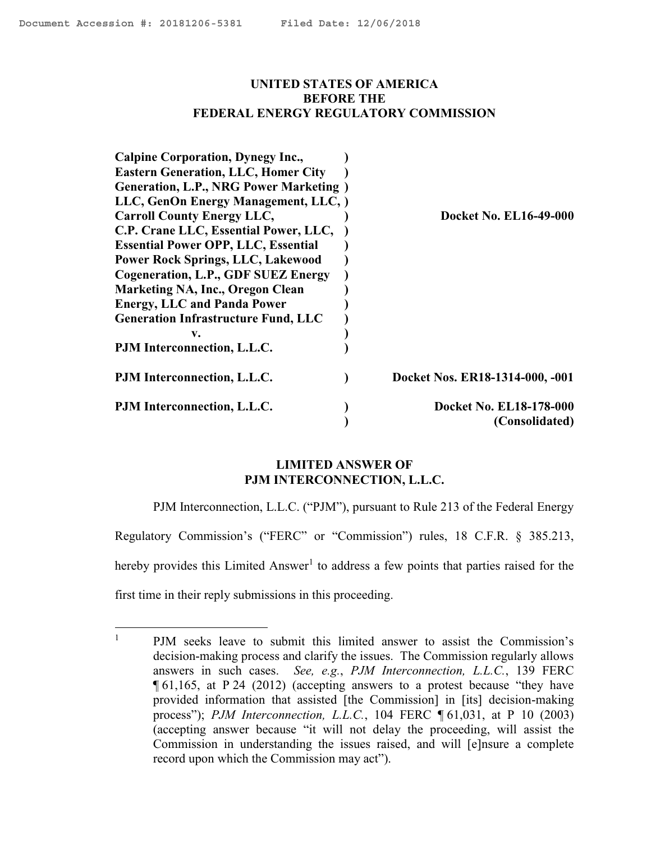#### <span id="page-0-0"></span>**UNITED STATES OF AMERICA BEFORE THE FEDERAL ENERGY REGULATORY COMMISSION**

| <b>Calpine Corporation, Dynegy Inc.,</b>       |                                 |
|------------------------------------------------|---------------------------------|
| <b>Eastern Generation, LLC, Homer City</b>     |                                 |
| <b>Generation, L.P., NRG Power Marketing</b> ) |                                 |
| LLC, GenOn Energy Management, LLC, )           |                                 |
| <b>Carroll County Energy LLC,</b>              | <b>Docket No. EL16-49-000</b>   |
| C.P. Crane LLC, Essential Power, LLC,          |                                 |
| <b>Essential Power OPP, LLC, Essential</b>     |                                 |
| <b>Power Rock Springs, LLC, Lakewood</b>       |                                 |
| Cogeneration, L.P., GDF SUEZ Energy            |                                 |
| <b>Marketing NA, Inc., Oregon Clean</b>        |                                 |
| <b>Energy, LLC and Panda Power</b>             |                                 |
| <b>Generation Infrastructure Fund, LLC</b>     |                                 |
| v.                                             |                                 |
| PJM Interconnection, L.L.C.                    |                                 |
| PJM Interconnection, L.L.C.                    | Docket Nos. ER18-1314-000, -001 |
| PJM Interconnection, L.L.C.                    | Docket No. EL18-178-000         |
|                                                | (Consolidated)                  |

## **LIMITED ANSWER OF PJM INTERCONNECTION, L.L.C.**

PJM Interconnection, L.L.C. ("PJM"), pursuant to Rule 213 of the Federal Energy Regulatory Commission's ("FERC" or "Commission") rules, 18 C.F.R. § 385.213, hereby provides this Limited Answer<sup>1</sup> to address a few points that parties raised for the first time in their reply submissions in this proceeding.

 $\mathbf{1}$ <sup>1</sup> PJM seeks leave to submit this limited answer to assist the Commission's decision-making process and clarify the issues. The Commission regularly allows answers in such cases. *See, e.g.*, *PJM Interconnection, L.L.C.*, 139 FERC ¶ 61,165, at P 24 (2012) (accepting answers to a protest because "they have provided information that assisted [the Commission] in [its] decision-making process"); *PJM Interconnection, L.L.C.*, 104 FERC ¶ 61,031, at P 10 (2003) (accepting answer because "it will not delay the proceeding, will assist the Commission in understanding the issues raised, and will [e]nsure a complete record upon which the Commission may act").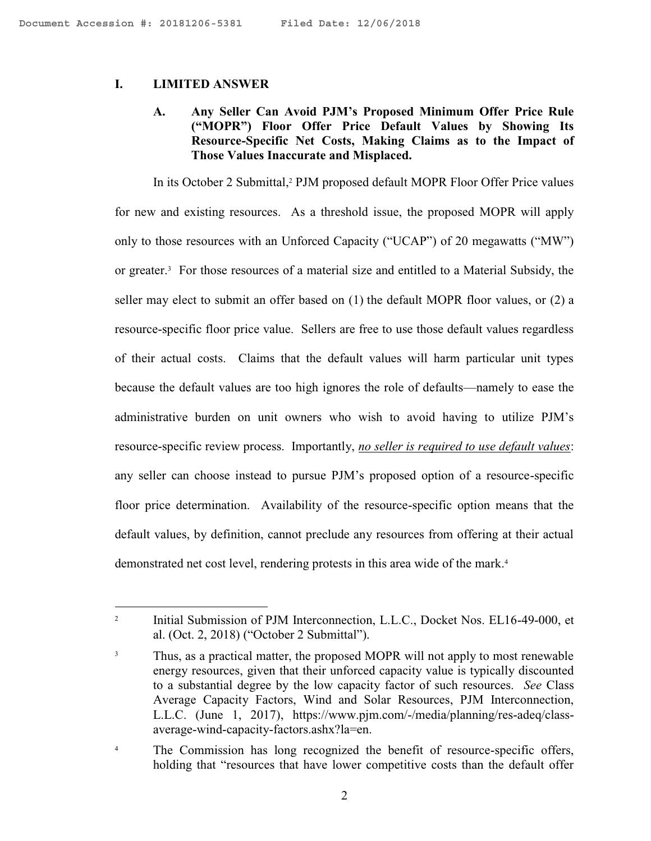#### **I. LIMITED ANSWER**

# **A. Any Seller Can Avoid PJM's Proposed Minimum Offer Price Rule ("MOPR") Floor Offer Price Default Values by Showing Its Resource-Specific Net Costs, Making Claims as to the Impact of Those Values Inaccurate and Misplaced.**

In its October 2 Submittal,<sup>2</sup> PJM proposed default MOPR Floor Offer Price values for new and existing resources. As a threshold issue, the proposed MOPR will apply only to those resources with an Unforced Capacity ("UCAP") of 20 megawatts ("MW") or greater.<sup>3</sup> For those resources of a material size and entitled to a Material Subsidy, the seller may elect to submit an offer based on (1) the default MOPR floor values, or (2) a resource-specific floor price value. Sellers are free to use those default values regardless of their actual costs. Claims that the default values will harm particular unit types because the default values are too high ignores the role of defaults—namely to ease the administrative burden on unit owners who wish to avoid having to utilize PJM's resource-specific review process. Importantly, *no seller is required to use default values*: any seller can choose instead to pursue PJM's proposed option of a resource-specific floor price determination. Availability of the resource-specific option means that the default values, by definition, cannot preclude any resources from offering at their actual demonstrated net cost level, rendering protests in this area wide of the mark.<sup>4</sup>

 $\overline{a}$ 2 Initial Submission of PJM Interconnection, L.L.C., Docket Nos. EL16-49-000, et al. (Oct. 2, 2018) ("October 2 Submittal").

<sup>&</sup>lt;sup>3</sup> Thus, as a practical matter, the proposed MOPR will not apply to most renewable energy resources, given that their unforced capacity value is typically discounted to a substantial degree by the low capacity factor of such resources. *See* Class Average Capacity Factors, Wind and Solar Resources, PJM Interconnection, L.L.C. (June 1, 2017), https://www.pjm.com/-/media/planning/res-adeq/classaverage-wind-capacity-factors.ashx?la=en.

<sup>&</sup>lt;sup>4</sup> The Commission has long recognized the benefit of resource-specific offers, holding that "resources that have lower competitive costs than the default offer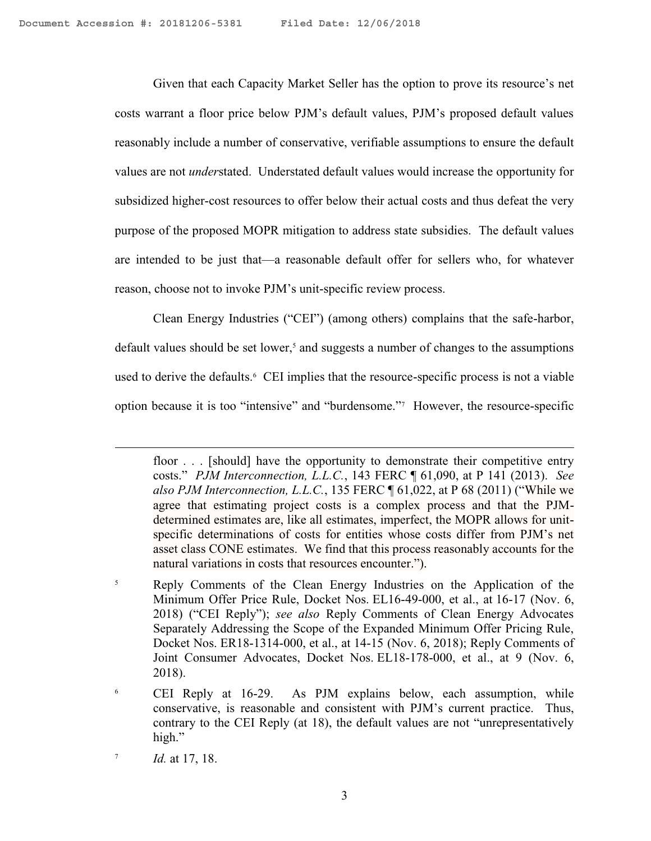Given that each Capacity Market Seller has the option to prove its resource's net costs warrant a floor price below PJM's default values, PJM's proposed default values reasonably include a number of conservative, verifiable assumptions to ensure the default values are not *under*stated. Understated default values would increase the opportunity for subsidized higher-cost resources to offer below their actual costs and thus defeat the very purpose of the proposed MOPR mitigation to address state subsidies. The default values are intended to be just that—a reasonable default offer for sellers who, for whatever reason, choose not to invoke PJM's unit-specific review process.

Clean Energy Industries ("CEI") (among others) complains that the safe-harbor, default values should be set lower, $<sup>5</sup>$  and suggests a number of changes to the assumptions</sup> used to derive the defaults.<sup>6</sup> CEI implies that the resource-specific process is not a viable option because it is too "intensive" and "burdensome."<sup>7</sup> However, the resource-specific

floor . . . [should] have the opportunity to demonstrate their competitive entry costs." *PJM Interconnection, L.L.C.*, 143 FERC ¶ 61,090, at P 141 (2013). *See also PJM Interconnection, L.L.C.*, 135 FERC ¶ 61,022, at P 68 (2011) ("While we agree that estimating project costs is a complex process and that the PJMdetermined estimates are, like all estimates, imperfect, the MOPR allows for unitspecific determinations of costs for entities whose costs differ from PJM's net asset class CONE estimates. We find that this process reasonably accounts for the natural variations in costs that resources encounter.").

<sup>&</sup>lt;sup>5</sup> Reply Comments of the Clean Energy Industries on the Application of the Minimum Offer Price Rule, Docket Nos. EL16-49-000, et al., at 16-17 (Nov. 6, 2018) ("CEI Reply"); *see also* Reply Comments of Clean Energy Advocates Separately Addressing the Scope of the Expanded Minimum Offer Pricing Rule, Docket Nos. ER18-1314-000, et al., at 14-15 (Nov. 6, 2018); Reply Comments of Joint Consumer Advocates, Docket Nos. EL18-178-000, et al., at 9 (Nov. 6, 2018).

<sup>6</sup> CEI Reply at 16-29. As PJM explains below, each assumption, while conservative, is reasonable and consistent with PJM's current practice. Thus, contrary to the CEI Reply (at 18), the default values are not "unrepresentatively high."

<sup>7</sup> *Id.* at 17, 18.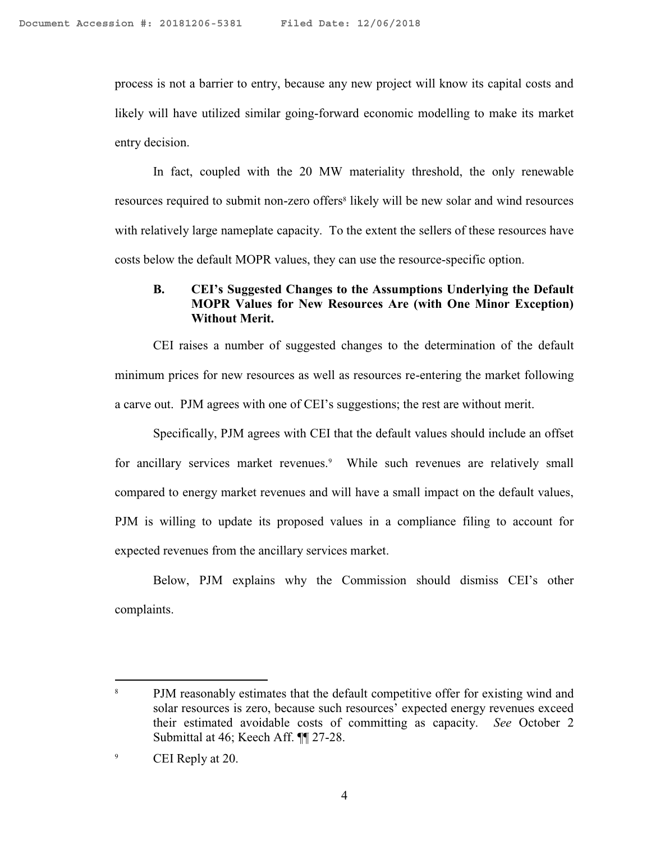process is not a barrier to entry, because any new project will know its capital costs and likely will have utilized similar going-forward economic modelling to make its market entry decision.

In fact, coupled with the 20 MW materiality threshold, the only renewable resources required to submit non-zero offers<sup>8</sup> likely will be new solar and wind resources with relatively large nameplate capacity. To the extent the sellers of these resources have costs below the default MOPR values, they can use the resource-specific option.

## **B. CEI's Suggested Changes to the Assumptions Underlying the Default MOPR Values for New Resources Are (with One Minor Exception) Without Merit.**

CEI raises a number of suggested changes to the determination of the default minimum prices for new resources as well as resources re-entering the market following a carve out. PJM agrees with one of CEI's suggestions; the rest are without merit.

Specifically, PJM agrees with CEI that the default values should include an offset for ancillary services market revenues.<sup>9</sup> While such revenues are relatively small compared to energy market revenues and will have a small impact on the default values, PJM is willing to update its proposed values in a compliance filing to account for expected revenues from the ancillary services market.

Below, PJM explains why the Commission should dismiss CEI's other complaints.

<sup>&</sup>lt;sup>8</sup> PJM reasonably estimates that the default competitive offer for existing wind and solar resources is zero, because such resources' expected energy revenues exceed their estimated avoidable costs of committing as capacity. *See* October 2 Submittal at 46; Keech Aff. ¶¶ 27-28.

<sup>&</sup>lt;sup>9</sup> CEI Reply at 20.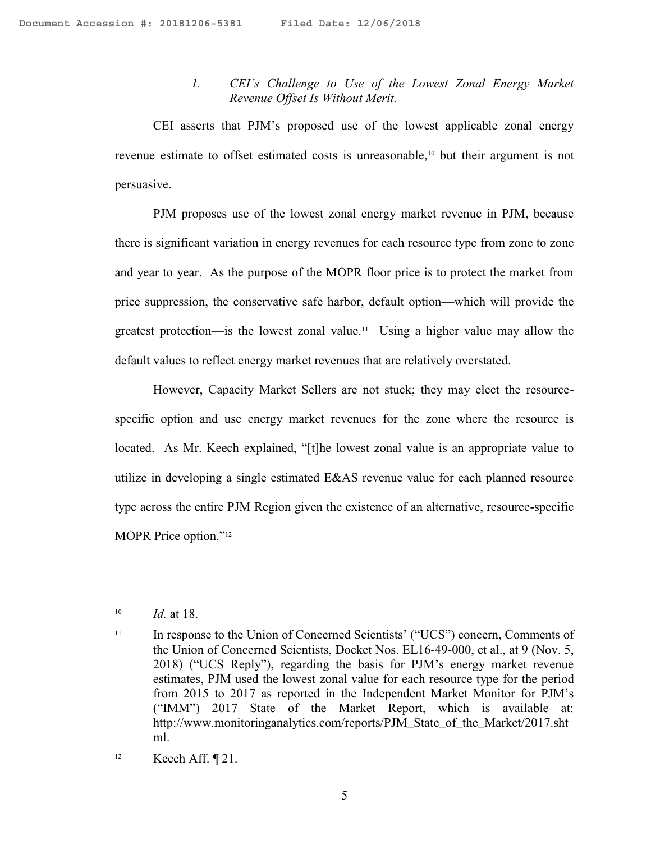## *1. CEI's Challenge to Use of the Lowest Zonal Energy Market Revenue Offset Is Without Merit.*

CEI asserts that PJM's proposed use of the lowest applicable zonal energy revenue estimate to offset estimated costs is unreasonable,<sup>10</sup> but their argument is not persuasive.

PJM proposes use of the lowest zonal energy market revenue in PJM, because there is significant variation in energy revenues for each resource type from zone to zone and year to year. As the purpose of the MOPR floor price is to protect the market from price suppression, the conservative safe harbor, default option—which will provide the greatest protection—is the lowest zonal value.<sup>11</sup> Using a higher value may allow the default values to reflect energy market revenues that are relatively overstated.

However, Capacity Market Sellers are not stuck; they may elect the resourcespecific option and use energy market revenues for the zone where the resource is located. As Mr. Keech explained, "[t]he lowest zonal value is an appropriate value to utilize in developing a single estimated E&AS revenue value for each planned resource type across the entire PJM Region given the existence of an alternative, resource-specific MOPR Price option."<sup>12</sup>

<sup>10</sup> *Id.* at 18.

<sup>&</sup>lt;sup>11</sup> In response to the Union of Concerned Scientists' ("UCS") concern, Comments of the Union of Concerned Scientists, Docket Nos. EL16-49-000, et al., at 9 (Nov. 5, 2018) ("UCS Reply"), regarding the basis for PJM's energy market revenue estimates, PJM used the lowest zonal value for each resource type for the period from 2015 to 2017 as reported in the Independent Market Monitor for PJM's ("IMM") 2017 State of the Market Report, which is available at: http://www.monitoringanalytics.com/reports/PJM\_State\_of\_the\_Market/2017.sht ml.

<sup>&</sup>lt;sup>12</sup> Keech Aff.  $\P$  21.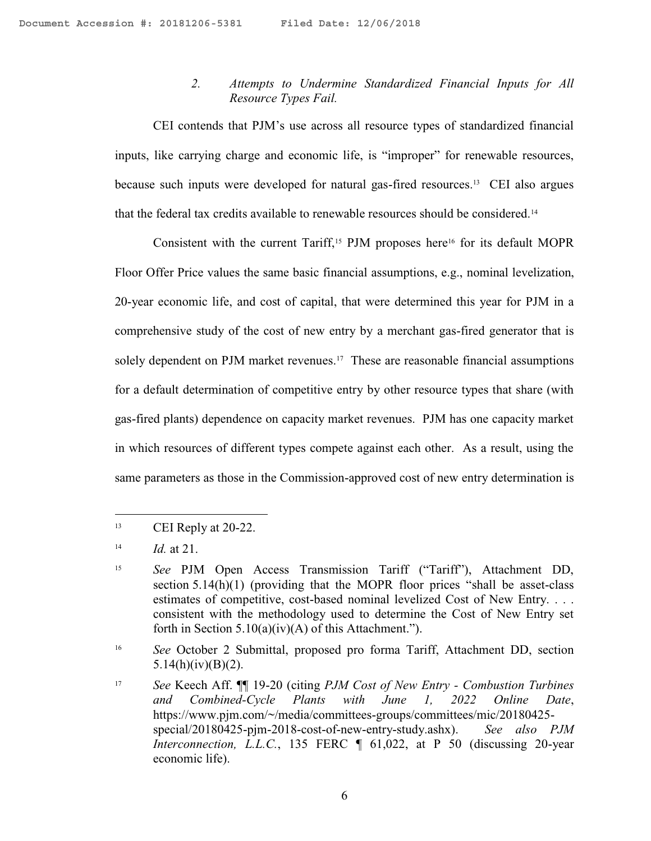## *2. Attempts to Undermine Standardized Financial Inputs for All Resource Types Fail.*

CEI contends that PJM's use across all resource types of standardized financial inputs, like carrying charge and economic life, is "improper" for renewable resources, because such inputs were developed for natural gas-fired resources.<sup>13</sup> CEI also argues that the federal tax credits available to renewable resources should be considered.<sup>14</sup>

Consistent with the current Tariff,<sup>15</sup> PJM proposes here<sup>16</sup> for its default MOPR Floor Offer Price values the same basic financial assumptions, e.g., nominal levelization, 20-year economic life, and cost of capital, that were determined this year for PJM in a comprehensive study of the cost of new entry by a merchant gas-fired generator that is solely dependent on PJM market revenues.<sup>17</sup> These are reasonable financial assumptions for a default determination of competitive entry by other resource types that share (with gas-fired plants) dependence on capacity market revenues. PJM has one capacity market in which resources of different types compete against each other. As a result, using the same parameters as those in the Commission-approved cost of new entry determination is

 $13$  CEI Reply at 20-22.

<sup>14</sup> *Id.* at 21.

<sup>15</sup> *See* PJM Open Access Transmission Tariff ("Tariff"), Attachment DD, section 5.14(h)(1) (providing that the MOPR floor prices "shall be asset-class estimates of competitive, cost-based nominal levelized Cost of New Entry. . . . consistent with the methodology used to determine the Cost of New Entry set forth in Section  $5.10(a)(iv)(A)$  of this Attachment.").

<sup>&</sup>lt;sup>16</sup> *See* October 2 Submittal, proposed pro forma Tariff, Attachment DD, section 5.14(h)(iv)(B)(2).

<sup>17</sup> *See* Keech Aff. ¶¶ 19-20 (citing *PJM Cost of New Entry - Combustion Turbines and Combined-Cycle Plants with June 1, 2022 Online Date*, https://www.pjm.com/~/media/committees-groups/committees/mic/20180425 special/20180425-pjm-2018-cost-of-new-entry-study.ashx). *See also PJM Interconnection, L.L.C.*, 135 FERC  $\parallel$  61,022, at P 50 (discussing 20-year economic life).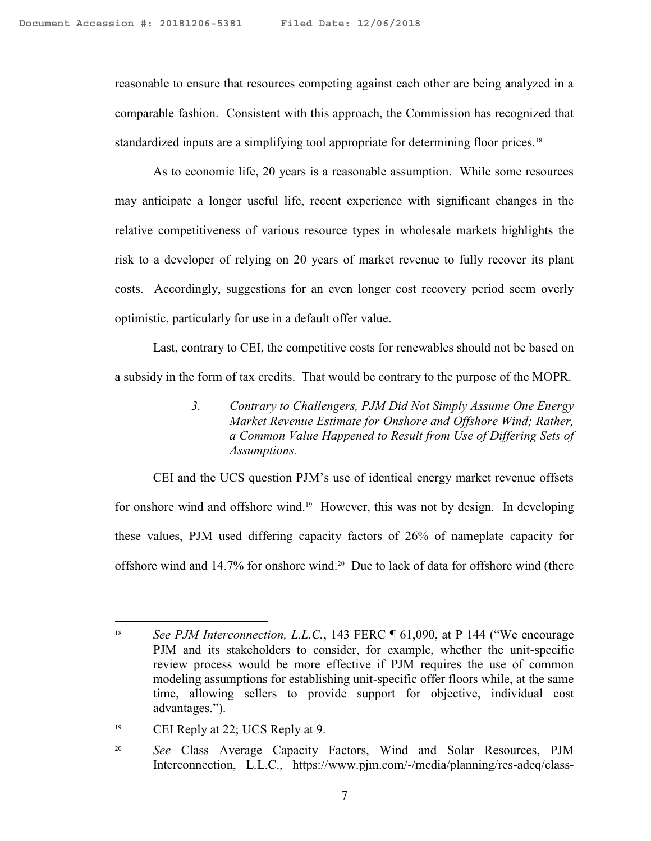reasonable to ensure that resources competing against each other are being analyzed in a comparable fashion. Consistent with this approach, the Commission has recognized that standardized inputs are a simplifying tool appropriate for determining floor prices.<sup>18</sup>

As to economic life, 20 years is a reasonable assumption. While some resources may anticipate a longer useful life, recent experience with significant changes in the relative competitiveness of various resource types in wholesale markets highlights the risk to a developer of relying on 20 years of market revenue to fully recover its plant costs. Accordingly, suggestions for an even longer cost recovery period seem overly optimistic, particularly for use in a default offer value.

Last, contrary to CEI, the competitive costs for renewables should not be based on a subsidy in the form of tax credits. That would be contrary to the purpose of the MOPR.

> *3. Contrary to Challengers, PJM Did Not Simply Assume One Energy Market Revenue Estimate for Onshore and Offshore Wind; Rather, a Common Value Happened to Result from Use of Differing Sets of Assumptions.*

CEI and the UCS question PJM's use of identical energy market revenue offsets for onshore wind and offshore wind.<sup>19</sup> However, this was not by design. In developing these values, PJM used differing capacity factors of 26% of nameplate capacity for offshore wind and 14.7% for onshore wind.<sup>20</sup> Due to lack of data for offshore wind (there

<sup>&</sup>lt;sup>18</sup> *See PJM Interconnection, L.L.C.*, 143 FERC ¶ 61,090, at P 144 ("We encourage PJM and its stakeholders to consider, for example, whether the unit-specific review process would be more effective if PJM requires the use of common modeling assumptions for establishing unit-specific offer floors while, at the same time, allowing sellers to provide support for objective, individual cost advantages.").

<sup>&</sup>lt;sup>19</sup> CEI Reply at 22; UCS Reply at 9.

<sup>20</sup> *See* Class Average Capacity Factors, Wind and Solar Resources, PJM Interconnection, L.L.C., https://www.pjm.com/-/media/planning/res-adeq/class-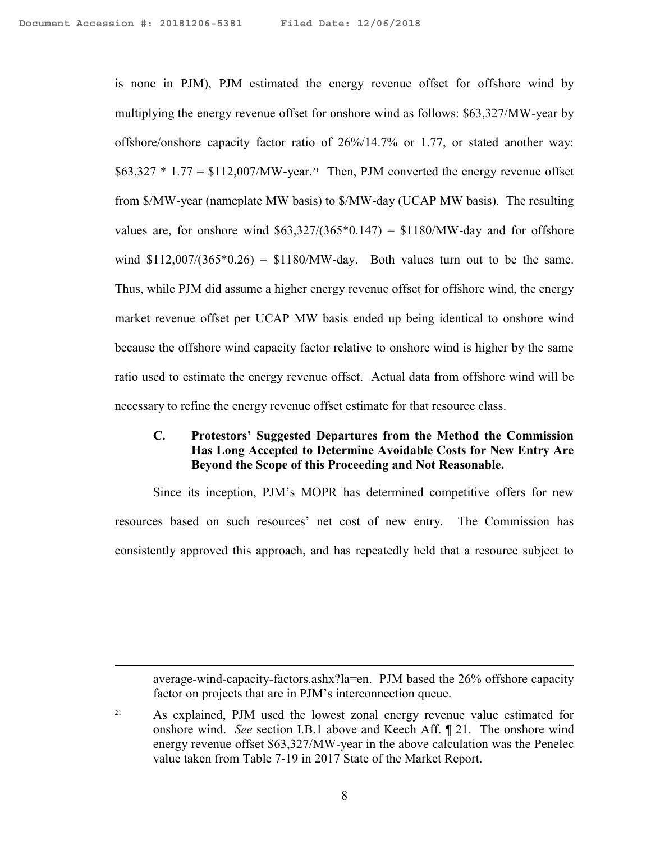$\overline{a}$ 

is none in PJM), PJM estimated the energy revenue offset for offshore wind by multiplying the energy revenue offset for onshore wind as follows: \$63,327/MW-year by offshore/onshore capacity factor ratio of 26%/14.7% or 1.77, or stated another way:  $$63,327 * 1.77 = $112,007/MW-year.<sup>21</sup>$  Then, PJM converted the energy revenue offset from \$/MW-year (nameplate MW basis) to \$/MW-day (UCAP MW basis). The resulting values are, for onshore wind  $$63,327/(365*0.147) = $1180/MW$ -day and for offshore wind  $$112,007/(365*0.26) = $1180/MW$ -day. Both values turn out to be the same. Thus, while PJM did assume a higher energy revenue offset for offshore wind, the energy market revenue offset per UCAP MW basis ended up being identical to onshore wind because the offshore wind capacity factor relative to onshore wind is higher by the same ratio used to estimate the energy revenue offset. Actual data from offshore wind will be necessary to refine the energy revenue offset estimate for that resource class.

#### **C. Protestors' Suggested Departures from the Method the Commission Has Long Accepted to Determine Avoidable Costs for New Entry Are Beyond the Scope of this Proceeding and Not Reasonable.**

Since its inception, PJM's MOPR has determined competitive offers for new resources based on such resources' net cost of new entry. The Commission has consistently approved this approach, and has repeatedly held that a resource subject to

average-wind-capacity-factors.ashx?la=en. PJM based the 26% offshore capacity factor on projects that are in PJM's interconnection queue.

<sup>21</sup> As explained, PJM used the lowest zonal energy revenue value estimated for onshore wind. *See* section I.B.1 above and Keech Aff. ¶ 21. The onshore wind energy revenue offset \$63,327/MW-year in the above calculation was the Penelec value taken from Table 7-19 in 2017 State of the Market Report.

8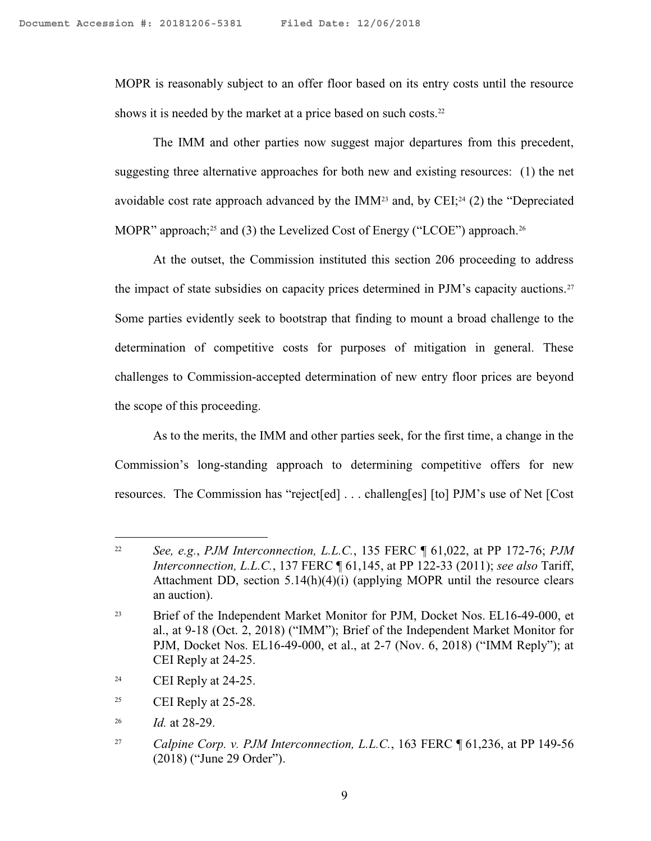MOPR is reasonably subject to an offer floor based on its entry costs until the resource shows it is needed by the market at a price based on such costs.<sup>22</sup>

The IMM and other parties now suggest major departures from this precedent, suggesting three alternative approaches for both new and existing resources: (1) the net avoidable cost rate approach advanced by the IMM<sup>23</sup> and, by CEI;<sup>24</sup> (2) the "Depreciated MOPR" approach;<sup>25</sup> and (3) the Levelized Cost of Energy ("LCOE") approach.<sup>26</sup>

At the outset, the Commission instituted this section 206 proceeding to address the impact of state subsidies on capacity prices determined in PJM's capacity auctions.<sup>27</sup> Some parties evidently seek to bootstrap that finding to mount a broad challenge to the determination of competitive costs for purposes of mitigation in general. These challenges to Commission-accepted determination of new entry floor prices are beyond the scope of this proceeding.

As to the merits, the IMM and other parties seek, for the first time, a change in the Commission's long-standing approach to determining competitive offers for new resources. The Commission has "reject[ed] . . . challeng[es] [to] PJM's use of Net [Cost

<sup>22</sup> *See, e.g.*, *PJM Interconnection, L.L.C.*, 135 FERC ¶ 61,022, at PP 172-76; *PJM Interconnection, L.L.C.*, 137 FERC ¶ 61,145, at PP 122-33 (2011); *see also* Tariff, Attachment DD, section  $5.14(h)(4)(i)$  (applying MOPR until the resource clears an auction).

<sup>&</sup>lt;sup>23</sup> Brief of the Independent Market Monitor for PJM, Docket Nos. EL16-49-000, et al., at 9-18 (Oct. 2, 2018) ("IMM"); Brief of the Independent Market Monitor for PJM, Docket Nos. EL16-49-000, et al., at 2-7 (Nov. 6, 2018) ("IMM Reply"); at CEI Reply at 24-25.

 $24$  CEI Reply at 24-25.

 $25$  CEI Reply at 25-28.

<sup>26</sup> *Id.* at 28-29.

<sup>27</sup> *Calpine Corp. v. PJM Interconnection, L.L.C.*, 163 FERC ¶ 61,236, at PP 149-56 (2018) ("June 29 Order").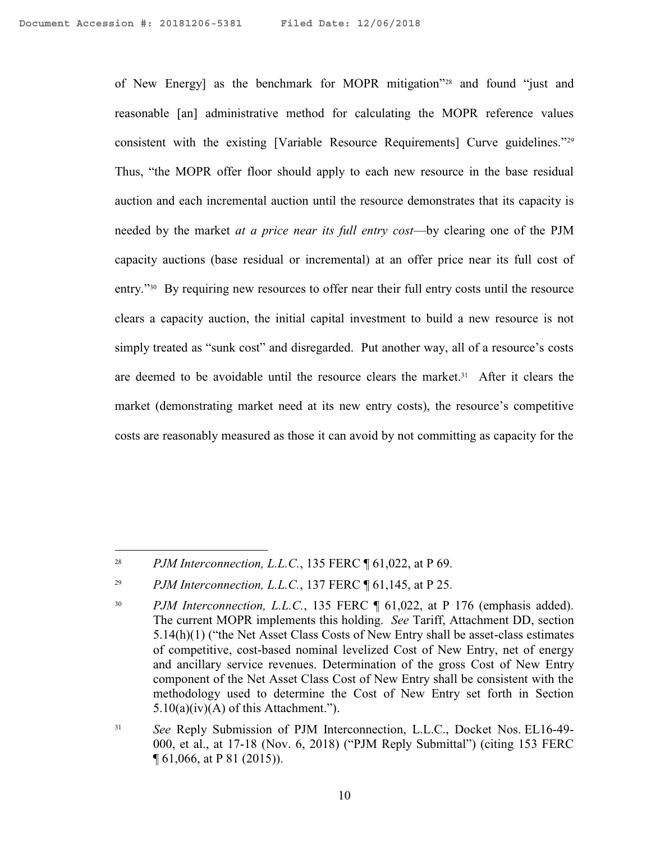of New Energy] as the benchmark for MOPR mitigation"<sup>28</sup> and found "just and reasonable [an] administrative method for calculating the MOPR reference values consistent with the existing [Variable Resource Requirements] Curve guidelines."<sup>29</sup> Thus, "the MOPR offer floor should apply to each new resource in the base residual auction and each incremental auction until the resource demonstrates that its capacity is needed by the market *at a price near its full entry cost*—by clearing one of the PJM capacity auctions (base residual or incremental) at an offer price near its full cost of entry."<sup>30</sup> By requiring new resources to offer near their full entry costs until the resource clears a capacity auction, the initial capital investment to build a new resource is not simply treated as "sunk cost" and disregarded. Put another way, all of a resource's costs are deemed to be avoidable until the resource clears the market.<sup>31</sup> After it clears the market (demonstrating market need at its new entry costs), the resource's competitive costs are reasonably measured as those it can avoid by not committing as capacity for the

<sup>28</sup> *PJM Interconnection, L.L.C.*, 135 FERC ¶ 61,022, at P 69.

<sup>29</sup> *PJM Interconnection, L.L.C.*, 137 FERC ¶ 61,145, at P 25.

<sup>&</sup>lt;sup>30</sup> *PJM Interconnection, L.L.C.*, 135 FERC  $\parallel$  61,022, at P 176 (emphasis added). The current MOPR implements this holding. *See* Tariff, Attachment DD, section 5.14(h)(1) ("the Net Asset Class Costs of New Entry shall be asset-class estimates of competitive, cost-based nominal levelized Cost of New Entry, net of energy and ancillary service revenues. Determination of the gross Cost of New Entry component of the Net Asset Class Cost of New Entry shall be consistent with the methodology used to determine the Cost of New Entry set forth in Section  $5.10(a)(iv)(A)$  of this Attachment.").

<sup>&</sup>lt;sup>31</sup> *See* Reply Submission of PJM Interconnection, L.L.C., Docket Nos. EL16-49-000, et al., at 17-18 (Nov. 6, 2018) ("PJM Reply Submittal") (citing 153 FERC ¶ 61,066, at P 81 (2015)).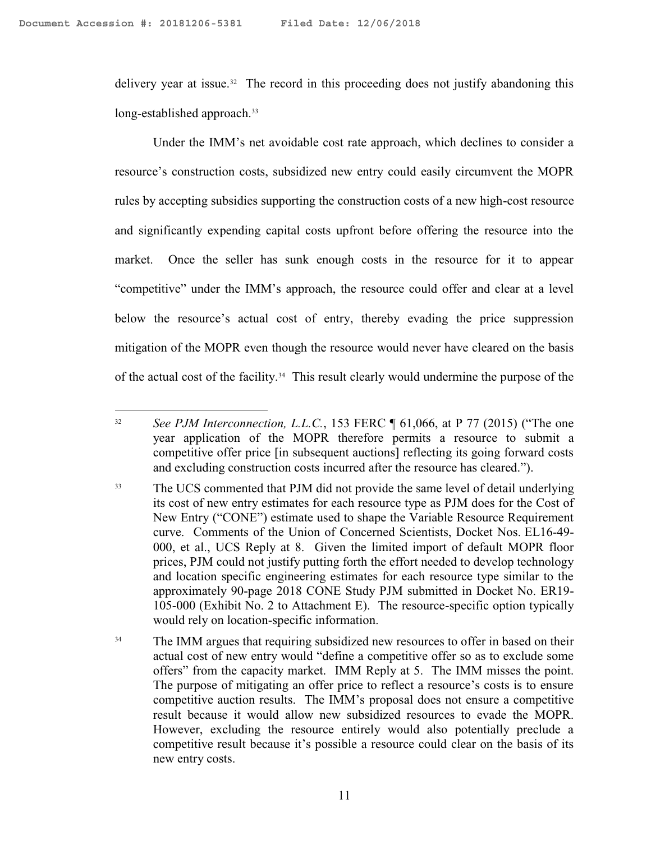$\overline{a}$ 

delivery year at issue.<sup>32</sup> The record in this proceeding does not justify abandoning this long-established approach.<sup>33</sup>

Under the IMM's net avoidable cost rate approach, which declines to consider a resource's construction costs, subsidized new entry could easily circumvent the MOPR rules by accepting subsidies supporting the construction costs of a new high-cost resource and significantly expending capital costs upfront before offering the resource into the market. Once the seller has sunk enough costs in the resource for it to appear "competitive" under the IMM's approach, the resource could offer and clear at a level below the resource's actual cost of entry, thereby evading the price suppression mitigation of the MOPR even though the resource would never have cleared on the basis of the actual cost of the facility.<sup>34</sup> This result clearly would undermine the purpose of the

<sup>&</sup>lt;sup>32</sup> *See PJM Interconnection, L.L.C.*, 153 FERC ¶ 61,066, at P 77 (2015) ("The one year application of the MOPR therefore permits a resource to submit a competitive offer price [in subsequent auctions] reflecting its going forward costs and excluding construction costs incurred after the resource has cleared.").

<sup>&</sup>lt;sup>33</sup> The UCS commented that PJM did not provide the same level of detail underlying its cost of new entry estimates for each resource type as PJM does for the Cost of New Entry ("CONE") estimate used to shape the Variable Resource Requirement curve. Comments of the Union of Concerned Scientists, Docket Nos. EL16-49- 000, et al., UCS Reply at 8. Given the limited import of default MOPR floor prices, PJM could not justify putting forth the effort needed to develop technology and location specific engineering estimates for each resource type similar to the approximately 90-page 2018 CONE Study PJM submitted in Docket No. ER19- 105-000 (Exhibit No. 2 to Attachment E). The resource-specific option typically would rely on location-specific information.

<sup>&</sup>lt;sup>34</sup> The IMM argues that requiring subsidized new resources to offer in based on their actual cost of new entry would "define a competitive offer so as to exclude some offers" from the capacity market. IMM Reply at 5. The IMM misses the point. The purpose of mitigating an offer price to reflect a resource's costs is to ensure competitive auction results. The IMM's proposal does not ensure a competitive result because it would allow new subsidized resources to evade the MOPR. However, excluding the resource entirely would also potentially preclude a competitive result because it's possible a resource could clear on the basis of its new entry costs.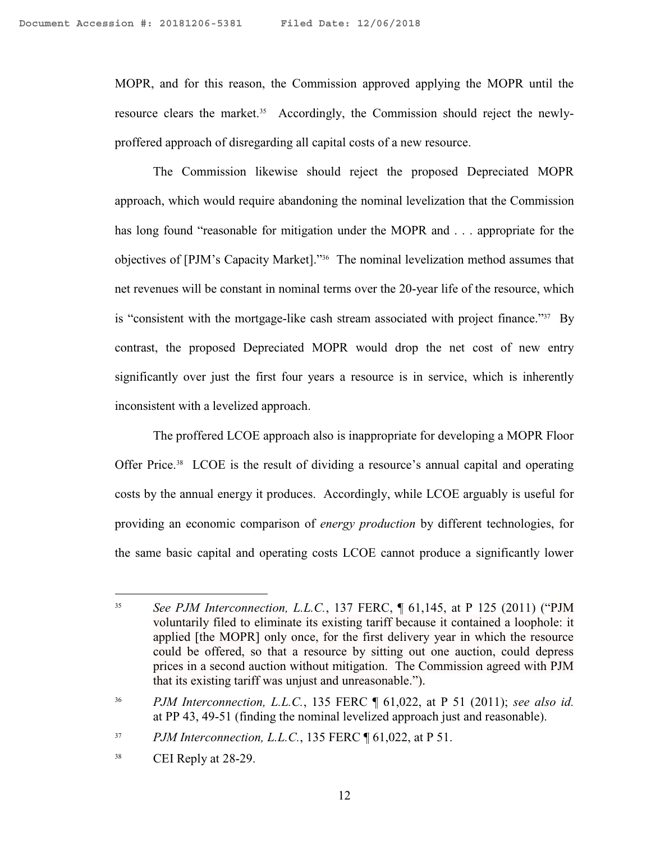MOPR, and for this reason, the Commission approved applying the MOPR until the resource clears the market.<sup>35</sup> Accordingly, the Commission should reject the newlyproffered approach of disregarding all capital costs of a new resource.

The Commission likewise should reject the proposed Depreciated MOPR approach, which would require abandoning the nominal levelization that the Commission has long found "reasonable for mitigation under the MOPR and . . . appropriate for the objectives of [PJM's Capacity Market]."<sup>36</sup> The nominal levelization method assumes that net revenues will be constant in nominal terms over the 20-year life of the resource, which is "consistent with the mortgage-like cash stream associated with project finance."<sup>37</sup> By contrast, the proposed Depreciated MOPR would drop the net cost of new entry significantly over just the first four years a resource is in service, which is inherently inconsistent with a levelized approach.

The proffered LCOE approach also is inappropriate for developing a MOPR Floor Offer Price.<sup>38</sup> LCOE is the result of dividing a resource's annual capital and operating costs by the annual energy it produces. Accordingly, while LCOE arguably is useful for providing an economic comparison of *energy production* by different technologies, for the same basic capital and operating costs LCOE cannot produce a significantly lower

<sup>35</sup> *See PJM Interconnection, L.L.C.*, 137 FERC, ¶ 61,145, at P 125 (2011) ("PJM voluntarily filed to eliminate its existing tariff because it contained a loophole: it applied [the MOPR] only once, for the first delivery year in which the resource could be offered, so that a resource by sitting out one auction, could depress prices in a second auction without mitigation. The Commission agreed with PJM that its existing tariff was unjust and unreasonable.").

<sup>36</sup> *PJM Interconnection, L.L.C.*, 135 FERC ¶ 61,022, at P 51 (2011); *see also id.* at PP 43, 49-51 (finding the nominal levelized approach just and reasonable).

<sup>37</sup> *PJM Interconnection, L.L.C.*, 135 FERC ¶ 61,022, at P 51.

<sup>&</sup>lt;sup>38</sup> CEI Reply at 28-29.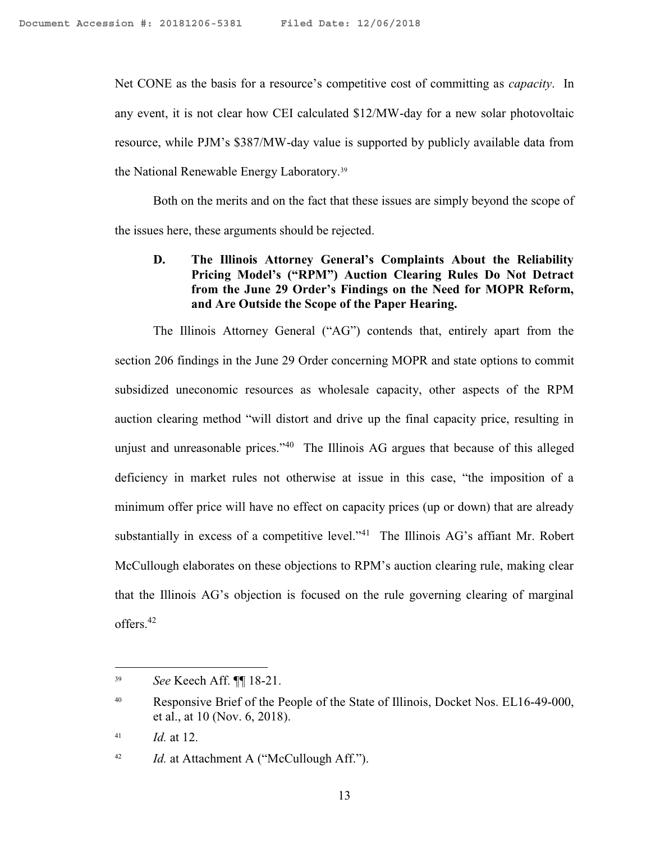Net CONE as the basis for a resource's competitive cost of committing as *capacity*. In any event, it is not clear how CEI calculated \$12/MW-day for a new solar photovoltaic resource, while PJM's \$387/MW-day value is supported by publicly available data from the National Renewable Energy Laboratory.<sup>39</sup>

Both on the merits and on the fact that these issues are simply beyond the scope of the issues here, these arguments should be rejected.

## **D. The Illinois Attorney General's Complaints About the Reliability Pricing Model's ("RPM") Auction Clearing Rules Do Not Detract from the June 29 Order's Findings on the Need for MOPR Reform, and Are Outside the Scope of the Paper Hearing.**

The Illinois Attorney General ("AG") contends that, entirely apart from the section 206 findings in the June 29 Order concerning MOPR and state options to commit subsidized uneconomic resources as wholesale capacity, other aspects of the RPM auction clearing method "will distort and drive up the final capacity price, resulting in unjust and unreasonable prices."<sup>40</sup> The Illinois AG argues that because of this alleged deficiency in market rules not otherwise at issue in this case, "the imposition of a minimum offer price will have no effect on capacity prices (up or down) that are already substantially in excess of a competitive level."<sup>41</sup> The Illinois AG's affiant Mr. Robert McCullough elaborates on these objections to RPM's auction clearing rule, making clear that the Illinois AG's objection is focused on the rule governing clearing of marginal offers.<sup>42</sup>

 $\overline{a}$ 

<sup>42</sup> *Id.* at Attachment A ("McCullough Aff.").

<sup>39</sup> *See* Keech Aff. ¶¶ 18-21.

<sup>&</sup>lt;sup>40</sup> Responsive Brief of the People of the State of Illinois, Docket Nos. EL16-49-000, et al., at 10 (Nov. 6, 2018).

 $^{41}$  *Id.* at 12.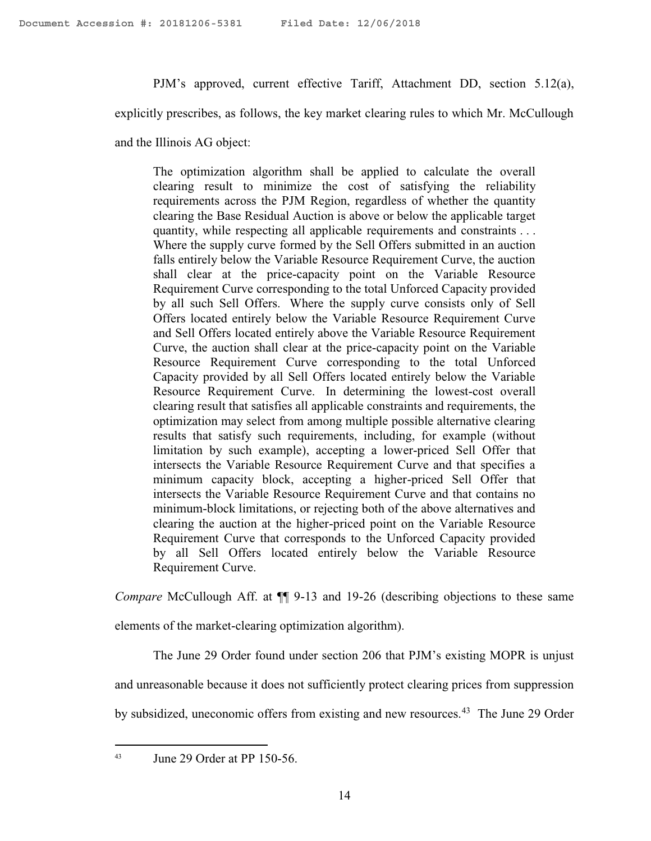PJM's approved, current effective Tariff, Attachment DD, section 5.12(a),

explicitly prescribes, as follows, the key market clearing rules to which Mr. McCullough

and the Illinois AG object:

The optimization algorithm shall be applied to calculate the overall clearing result to minimize the cost of satisfying the reliability requirements across the PJM Region, regardless of whether the quantity clearing the Base Residual Auction is above or below the applicable target quantity, while respecting all applicable requirements and constraints . . . Where the supply curve formed by the Sell Offers submitted in an auction falls entirely below the Variable Resource Requirement Curve, the auction shall clear at the price-capacity point on the Variable Resource Requirement Curve corresponding to the total Unforced Capacity provided by all such Sell Offers. Where the supply curve consists only of Sell Offers located entirely below the Variable Resource Requirement Curve and Sell Offers located entirely above the Variable Resource Requirement Curve, the auction shall clear at the price-capacity point on the Variable Resource Requirement Curve corresponding to the total Unforced Capacity provided by all Sell Offers located entirely below the Variable Resource Requirement Curve. In determining the lowest-cost overall clearing result that satisfies all applicable constraints and requirements, the optimization may select from among multiple possible alternative clearing results that satisfy such requirements, including, for example (without limitation by such example), accepting a lower-priced Sell Offer that intersects the Variable Resource Requirement Curve and that specifies a minimum capacity block, accepting a higher-priced Sell Offer that intersects the Variable Resource Requirement Curve and that contains no minimum-block limitations, or rejecting both of the above alternatives and clearing the auction at the higher-priced point on the Variable Resource Requirement Curve that corresponds to the Unforced Capacity provided by all Sell Offers located entirely below the Variable Resource Requirement Curve.

*Compare* McCullough Aff. at  $\P$  9-13 and 19-26 (describing objections to these same

elements of the market-clearing optimization algorithm).

The June 29 Order found under section 206 that PJM's existing MOPR is unjust

and unreasonable because it does not sufficiently protect clearing prices from suppression

by subsidized, uneconomic offers from existing and new resources.<sup>43</sup> The June 29 Order

<sup>43</sup> June 29 Order at PP 150-56.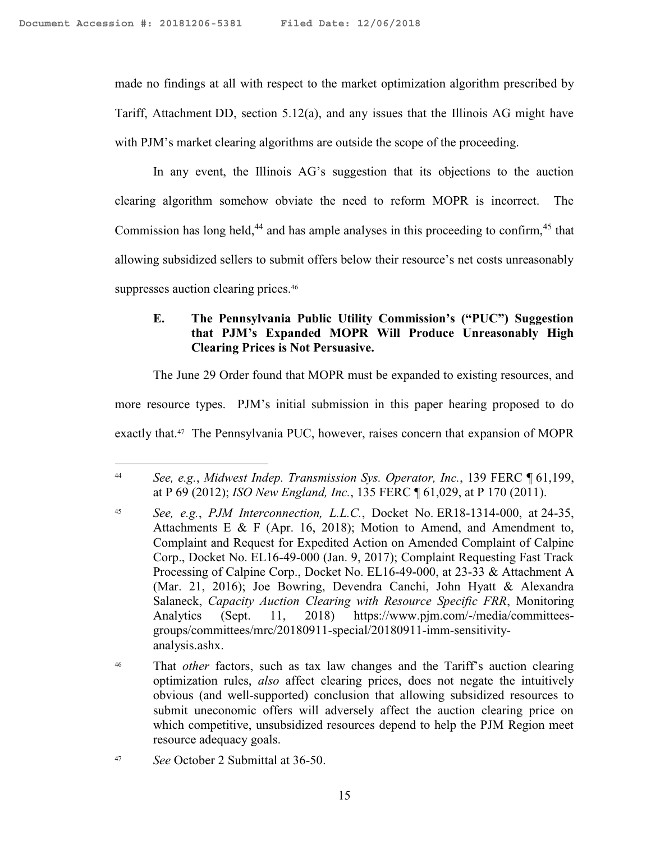made no findings at all with respect to the market optimization algorithm prescribed by Tariff, Attachment DD, section 5.12(a), and any issues that the Illinois AG might have with PJM's market clearing algorithms are outside the scope of the proceeding.

In any event, the Illinois AG's suggestion that its objections to the auction clearing algorithm somehow obviate the need to reform MOPR is incorrect. The Commission has long held,<sup>44</sup> and has ample analyses in this proceeding to confirm,  $45$  that allowing subsidized sellers to submit offers below their resource's net costs unreasonably suppresses auction clearing prices.<sup>46</sup>

# **E. The Pennsylvania Public Utility Commission's ("PUC") Suggestion that PJM's Expanded MOPR Will Produce Unreasonably High Clearing Prices is Not Persuasive.**

The June 29 Order found that MOPR must be expanded to existing resources, and

more resource types. PJM's initial submission in this paper hearing proposed to do

exactly that.<sup>47</sup> The Pennsylvania PUC, however, raises concern that expansion of MOPR

<sup>44</sup> *See, e.g.*, *Midwest Indep. Transmission Sys. Operator, Inc.*, 139 FERC ¶ 61,199, at P 69 (2012); *ISO New England, Inc.*, 135 FERC ¶ 61,029, at P 170 (2011).

<sup>45</sup> *See, e.g.*, *PJM Interconnection, L.L.C.*, Docket No. ER18-1314-000, at 24-35, Attachments E & F (Apr. 16, 2018); Motion to Amend, and Amendment to, Complaint and Request for Expedited Action on Amended Complaint of Calpine Corp., Docket No. EL16-49-000 (Jan. 9, 2017); Complaint Requesting Fast Track Processing of Calpine Corp., Docket No. EL16-49-000, at 23-33 & Attachment A (Mar. 21, 2016); Joe Bowring, Devendra Canchi, John Hyatt & Alexandra Salaneck, *Capacity Auction Clearing with Resource Specific FRR*, Monitoring Analytics (Sept. 11, 2018) https://www.pjm.com/-/media/committeesgroups/committees/mrc/20180911-special/20180911-imm-sensitivityanalysis.ashx.

<sup>46</sup> That *other* factors, such as tax law changes and the Tariff's auction clearing optimization rules, *also* affect clearing prices, does not negate the intuitively obvious (and well-supported) conclusion that allowing subsidized resources to submit uneconomic offers will adversely affect the auction clearing price on which competitive, unsubsidized resources depend to help the PJM Region meet resource adequacy goals.

<sup>47</sup> *See* October 2 Submittal at 36-50.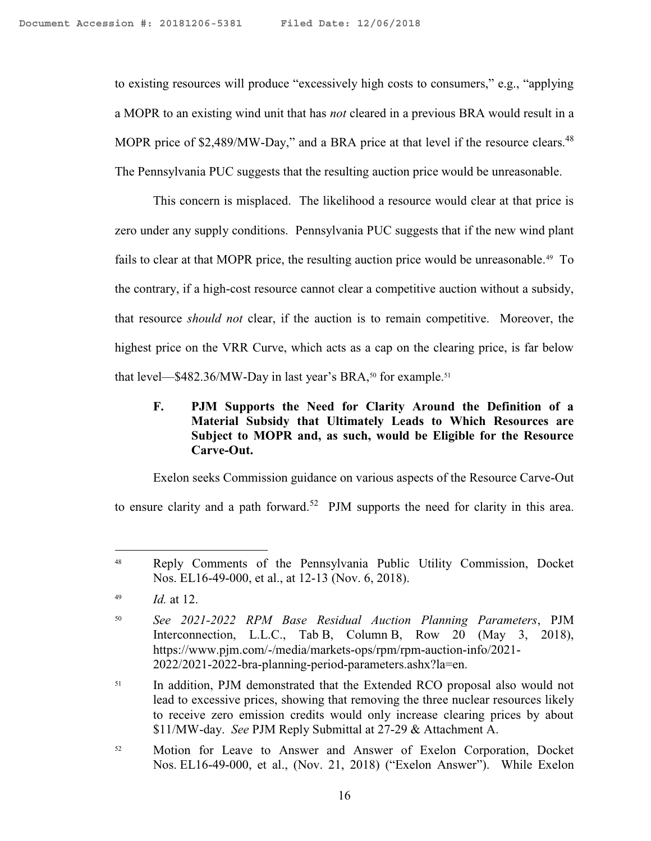to existing resources will produce "excessively high costs to consumers," e.g., "applying a MOPR to an existing wind unit that has *not* cleared in a previous BRA would result in a MOPR price of  $$2,489/MW$ -Day," and a BRA price at that level if the resource clears.<sup>48</sup> The Pennsylvania PUC suggests that the resulting auction price would be unreasonable.

This concern is misplaced. The likelihood a resource would clear at that price is zero under any supply conditions. Pennsylvania PUC suggests that if the new wind plant fails to clear at that MOPR price, the resulting auction price would be unreasonable.<sup>49</sup> To the contrary, if a high-cost resource cannot clear a competitive auction without a subsidy, that resource *should not* clear, if the auction is to remain competitive. Moreover, the highest price on the VRR Curve, which acts as a cap on the clearing price, is far below that level— $$482.36/MW$ -Day in last year's BRA,<sup>50</sup> for example.<sup>51</sup>

## **F. PJM Supports the Need for Clarity Around the Definition of a Material Subsidy that Ultimately Leads to Which Resources are Subject to MOPR and, as such, would be Eligible for the Resource Carve-Out.**

Exelon seeks Commission guidance on various aspects of the Resource Carve-Out to ensure clarity and a path forward.<sup>52</sup> PJM supports the need for clarity in this area.

 $\overline{a}$ 

<sup>51</sup> In addition, PJM demonstrated that the Extended RCO proposal also would not lead to excessive prices, showing that removing the three nuclear resources likely to receive zero emission credits would only increase clearing prices by about \$11/MW-day. *See* PJM Reply Submittal at 27-29 & Attachment A.

<sup>48</sup> Reply Comments of the Pennsylvania Public Utility Commission, Docket Nos. EL16-49-000, et al., at 12-13 (Nov. 6, 2018).

<sup>49</sup> *Id.* at 12.

<sup>50</sup> *See 2021-2022 RPM Base Residual Auction Planning Parameters*, PJM Interconnection, L.L.C., Tab B, Column B, Row 20 (May 3, 2018), https://www.pjm.com/-/media/markets-ops/rpm/rpm-auction-info/2021- 2022/2021-2022-bra-planning-period-parameters.ashx?la=en.

<sup>52</sup> Motion for Leave to Answer and Answer of Exelon Corporation, Docket Nos. EL16-49-000, et al., (Nov. 21, 2018) ("Exelon Answer"). While Exelon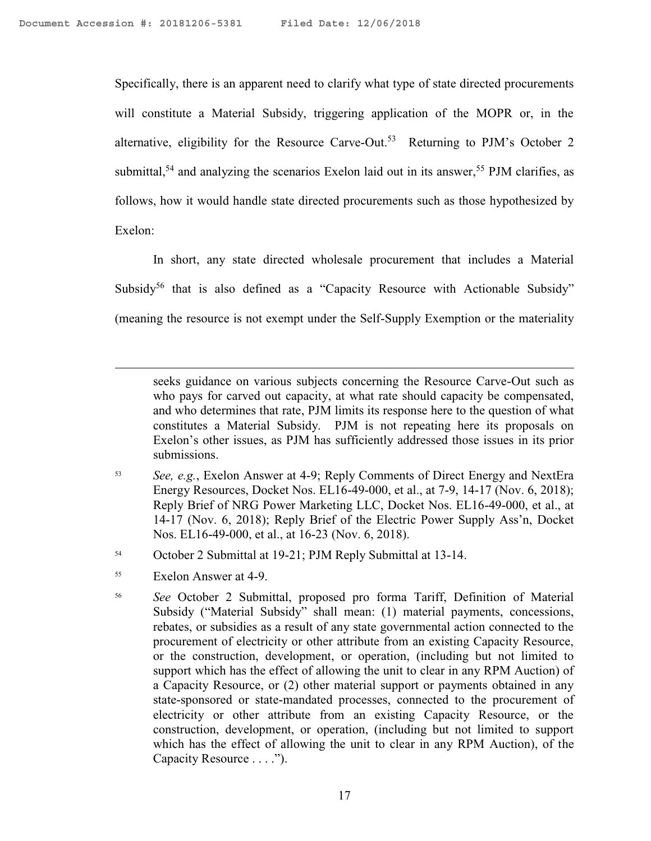Specifically, there is an apparent need to clarify what type of state directed procurements will constitute a Material Subsidy, triggering application of the MOPR or, in the alternative, eligibility for the Resource Carve-Out.<sup>53</sup> Returning to PJM's October 2 submittal,<sup>54</sup> and analyzing the scenarios Exelon laid out in its answer,<sup>55</sup> PJM clarifies, as follows, how it would handle state directed procurements such as those hypothesized by Exelon:

In short, any state directed wholesale procurement that includes a Material Subsidy<sup>56</sup> that is also defined as a "Capacity Resource with Actionable Subsidy" (meaning the resource is not exempt under the Self-Supply Exemption or the materiality

seeks guidance on various subjects concerning the Resource Carve-Out such as who pays for carved out capacity, at what rate should capacity be compensated, and who determines that rate, PJM limits its response here to the question of what constitutes a Material Subsidy. PJM is not repeating here its proposals on Exelon's other issues, as PJM has sufficiently addressed those issues in its prior submissions.

- <sup>53</sup> *See, e.g.*, Exelon Answer at 4-9; Reply Comments of Direct Energy and NextEra Energy Resources, Docket Nos. EL16-49-000, et al., at 7-9, 14-17 (Nov. 6, 2018); Reply Brief of NRG Power Marketing LLC, Docket Nos. EL16-49-000, et al., at 14-17 (Nov. 6, 2018); Reply Brief of the Electric Power Supply Ass'n, Docket Nos. EL16-49-000, et al., at 16-23 (Nov. 6, 2018).
- <sup>54</sup> October 2 Submittal at 19-21; PJM Reply Submittal at 13-14.
- <sup>55</sup> Exelon Answer at 4-9.

 $\overline{a}$ 

<sup>56</sup> *See* October 2 Submittal, proposed pro forma Tariff, Definition of Material Subsidy ("Material Subsidy" shall mean: (1) material payments, concessions, rebates, or subsidies as a result of any state governmental action connected to the procurement of electricity or other attribute from an existing Capacity Resource, or the construction, development, or operation, (including but not limited to support which has the effect of allowing the unit to clear in any RPM Auction) of a Capacity Resource, or (2) other material support or payments obtained in any state-sponsored or state-mandated processes, connected to the procurement of electricity or other attribute from an existing Capacity Resource, or the construction, development, or operation, (including but not limited to support which has the effect of allowing the unit to clear in any RPM Auction), of the Capacity Resource . . . .").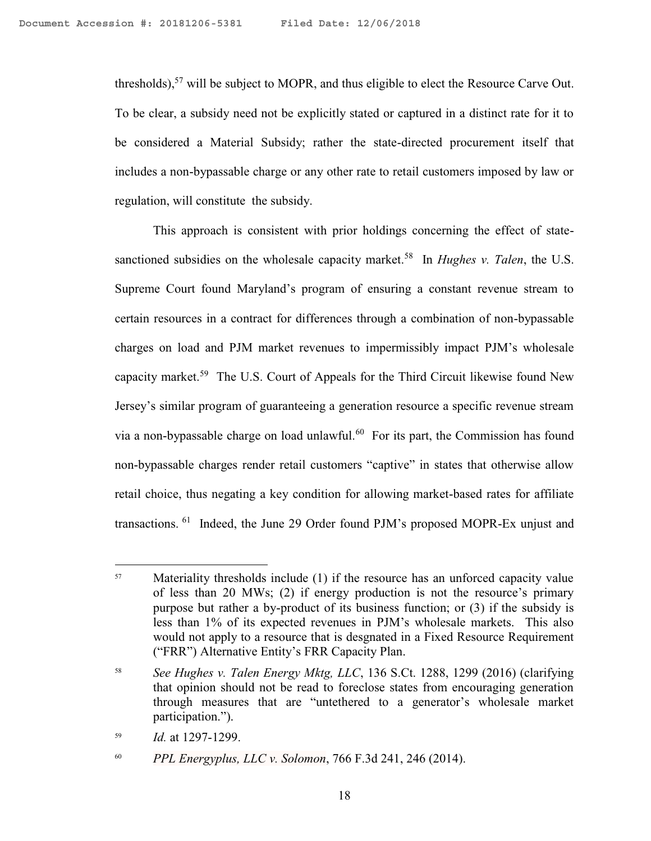thresholds),  $57$  will be subject to MOPR, and thus eligible to elect the Resource Carve Out. To be clear, a subsidy need not be explicitly stated or captured in a distinct rate for it to be considered a Material Subsidy; rather the state-directed procurement itself that includes a non-bypassable charge or any other rate to retail customers imposed by law or regulation, will constitute the subsidy.

This approach is consistent with prior holdings concerning the effect of statesanctioned subsidies on the wholesale capacity market.<sup>58</sup> In *Hughes v. Talen*, the U.S. Supreme Court found Maryland's program of ensuring a constant revenue stream to certain resources in a contract for differences through a combination of non-bypassable charges on load and PJM market revenues to impermissibly impact PJM's wholesale capacity market.<sup>59</sup> The U.S. Court of Appeals for the Third Circuit likewise found New Jersey's similar program of guaranteeing a generation resource a specific revenue stream via a non-bypassable charge on load unlawful.<sup>60</sup> For its part, the Commission has found non-bypassable charges render retail customers "captive" in states that otherwise allow retail choice, thus negating a key condition for allowing market-based rates for affiliate transactions. <sup>61</sup> Indeed, the June 29 Order found PJM's proposed MOPR-Ex unjust and

<sup>&</sup>lt;sup>57</sup> Materiality thresholds include (1) if the resource has an unforced capacity value of less than 20 MWs; (2) if energy production is not the resource's primary purpose but rather a by-product of its business function; or (3) if the subsidy is less than 1% of its expected revenues in PJM's wholesale markets. This also would not apply to a resource that is desgnated in a Fixed Resource Requirement ("FRR") Alternative Entity's FRR Capacity Plan.

<sup>58</sup> *See Hughes v. Talen Energy Mktg, LLC*, 136 S.Ct. 1288, 1299 (2016) (clarifying that opinion should not be read to foreclose states from encouraging generation through measures that are "untethered to a generator's wholesale market participation.").

<sup>59</sup> *Id.* at 1297-1299.

<sup>60</sup> *PPL Energyplus, LLC v. Solomon*, 766 F.3d 241, 246 (2014).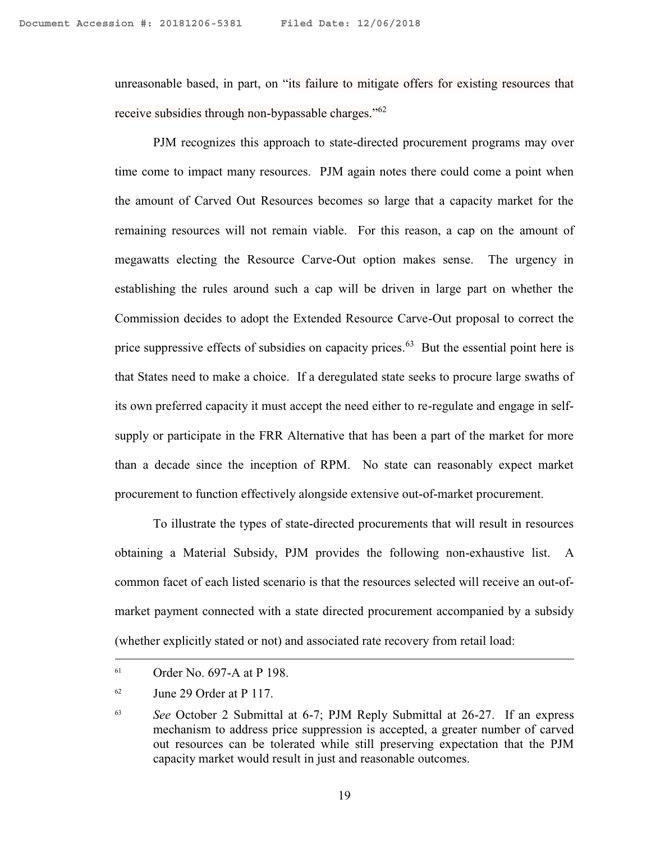unreasonable based, in part, on "its failure to mitigate offers for existing resources that receive subsidies through non-bypassable charges."<sup>62</sup>

PJM recognizes this approach to state-directed procurement programs may over time come to impact many resources. PJM again notes there could come a point when the amount of Carved Out Resources becomes so large that a capacity market for the remaining resources will not remain viable. For this reason, a cap on the amount of megawatts electing the Resource Carve-Out option makes sense. The urgency in establishing the rules around such a cap will be driven in large part on whether the Commission decides to adopt the Extended Resource Carve-Out proposal to correct the price suppressive effects of subsidies on capacity prices.<sup>63</sup> But the essential point here is that States need to make a choice. If a deregulated state seeks to procure large swaths of its own preferred capacity it must accept the need either to re-regulate and engage in selfsupply or participate in the FRR Alternative that has been a part of the market for more than a decade since the inception of RPM. No state can reasonably expect market procurement to function effectively alongside extensive out-of-market procurement.

To illustrate the types of state-directed procurements that will result in resources obtaining a Material Subsidy, PJM provides the following non-exhaustive list. A common facet of each listed scenario is that the resources selected will receive an out-ofmarket payment connected with a state directed procurement accompanied by a subsidy (whether explicitly stated or not) and associated rate recovery from retail load:

<sup>61</sup> Order No. 697-A at P 198.

<sup>62</sup> June 29 Order at P 117.

<sup>63</sup> *See* October 2 Submittal at 6-7; PJM Reply Submittal at 26-27. If an express mechanism to address price suppression is accepted, a greater number of carved out resources can be tolerated while still preserving expectation that the PJM capacity market would result in just and reasonable outcomes.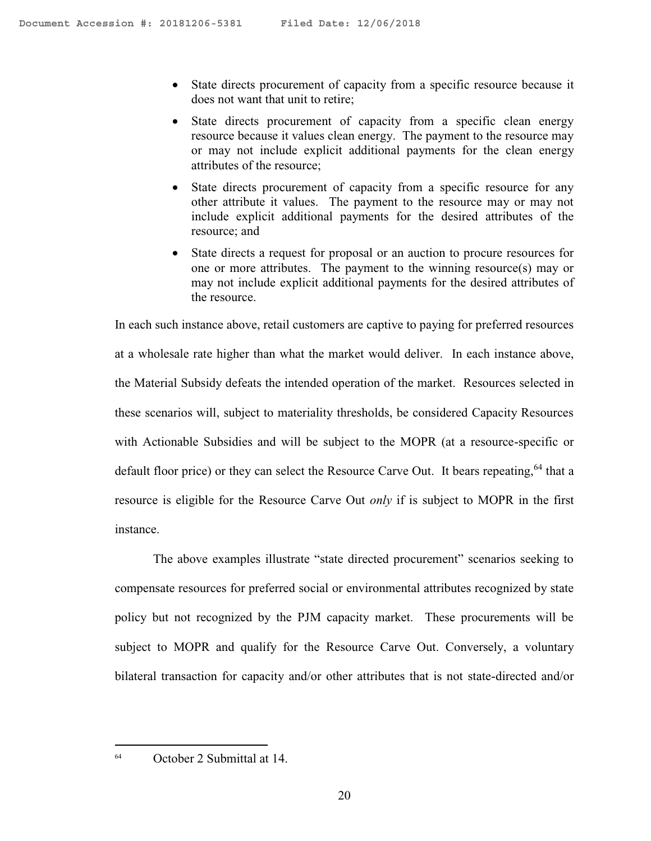- State directs procurement of capacity from a specific resource because it does not want that unit to retire;
- State directs procurement of capacity from a specific clean energy resource because it values clean energy. The payment to the resource may or may not include explicit additional payments for the clean energy attributes of the resource;
- State directs procurement of capacity from a specific resource for any other attribute it values. The payment to the resource may or may not include explicit additional payments for the desired attributes of the resource; and
- State directs a request for proposal or an auction to procure resources for one or more attributes. The payment to the winning resource(s) may or may not include explicit additional payments for the desired attributes of the resource.

In each such instance above, retail customers are captive to paying for preferred resources at a wholesale rate higher than what the market would deliver. In each instance above, the Material Subsidy defeats the intended operation of the market. Resources selected in these scenarios will, subject to materiality thresholds, be considered Capacity Resources with Actionable Subsidies and will be subject to the MOPR (at a resource-specific or default floor price) or they can select the Resource Carve Out. It bears repeating,  $64$  that a resource is eligible for the Resource Carve Out *only* if is subject to MOPR in the first instance.

The above examples illustrate "state directed procurement" scenarios seeking to compensate resources for preferred social or environmental attributes recognized by state policy but not recognized by the PJM capacity market. These procurements will be subject to MOPR and qualify for the Resource Carve Out. Conversely, a voluntary bilateral transaction for capacity and/or other attributes that is not state-directed and/or

<sup>64</sup> October 2 Submittal at 14.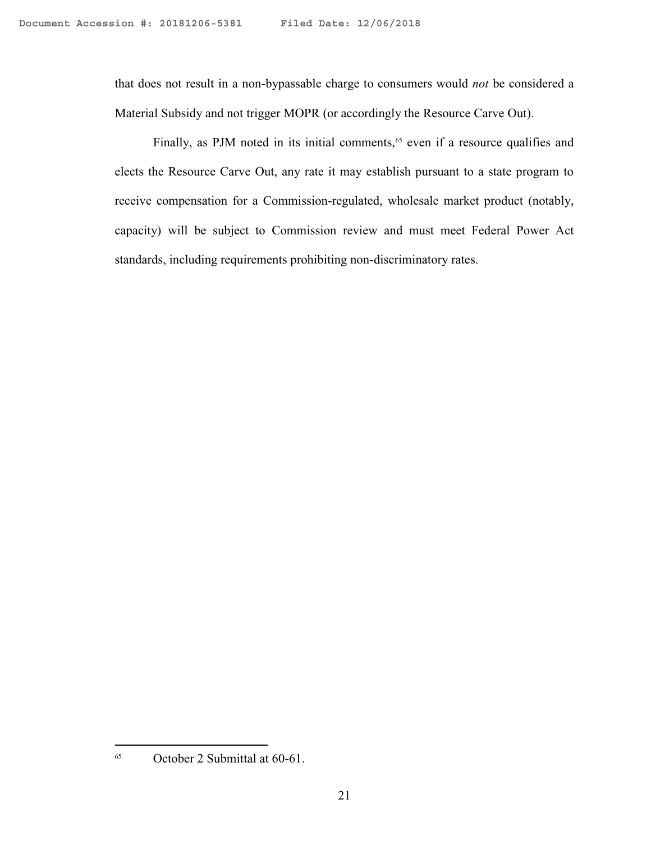that does not result in a non-bypassable charge to consumers would *not* be considered a Material Subsidy and not trigger MOPR (or accordingly the Resource Carve Out).

Finally, as PJM noted in its initial comments,<sup>65</sup> even if a resource qualifies and elects the Resource Carve Out, any rate it may establish pursuant to a state program to receive compensation for a Commission-regulated, wholesale market product (notably, capacity) will be subject to Commission review and must meet Federal Power Act standards, including requirements prohibiting non-discriminatory rates.

<sup>65</sup> October 2 Submittal at 60-61.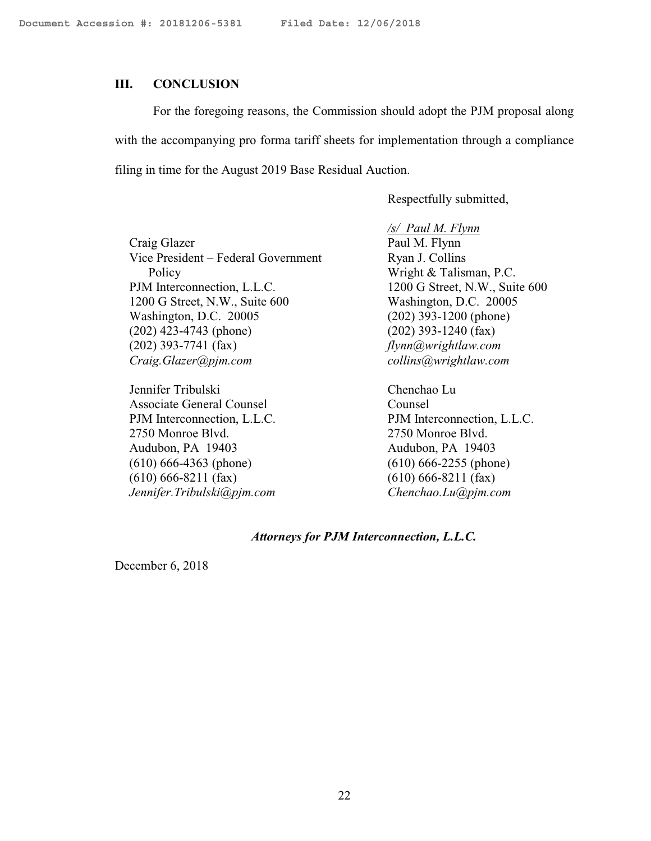#### **III. CONCLUSION**

For the foregoing reasons, the Commission should adopt the PJM proposal along with the accompanying pro forma tariff sheets for implementation through a compliance filing in time for the August 2019 Base Residual Auction.

Respectfully submitted,

Craig Glazer Vice President – Federal Government Policy PJM Interconnection, L.L.C. 1200 G Street, N.W., Suite 600 Washington, D.C. 20005 (202) 423-4743 (phone) (202) 393-7741 (fax) *Craig.Glazer@pjm.com*

Jennifer Tribulski Associate General Counsel PJM Interconnection, L.L.C. 2750 Monroe Blvd. Audubon, PA 19403 (610) 666-4363 (phone) (610) 666-8211 (fax) *Jennifer.Tribulski@pjm.com*

*/s/ Paul M. Flynn* Paul M. Flynn Ryan J. Collins Wright & Talisman, P.C. 1200 G Street, N.W., Suite 600 Washington, D.C. 20005 (202) 393-1200 (phone) (202) 393-1240 (fax) *flynn@wrightlaw.com collins@wrightlaw.com*

Chenchao Lu Counsel PJM Interconnection, L.L.C. 2750 Monroe Blvd. Audubon, PA 19403 (610) 666-2255 (phone) (610) 666-8211 (fax) *Chenchao.Lu@pjm.com*

#### *Attorneys for PJM Interconnection, L.L.C.*

December 6, 2018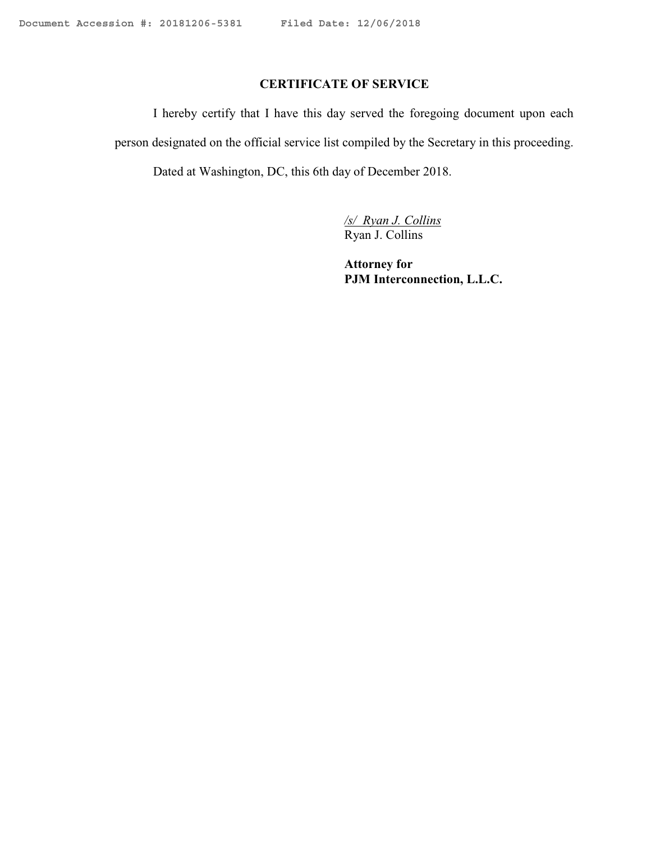# **CERTIFICATE OF SERVICE**

I hereby certify that I have this day served the foregoing document upon each person designated on the official service list compiled by the Secretary in this proceeding. Dated at Washington, DC, this 6th day of December 2018.

> */s/ Ryan J. Collins* Ryan J. Collins

**Attorney for PJM Interconnection, L.L.C.**